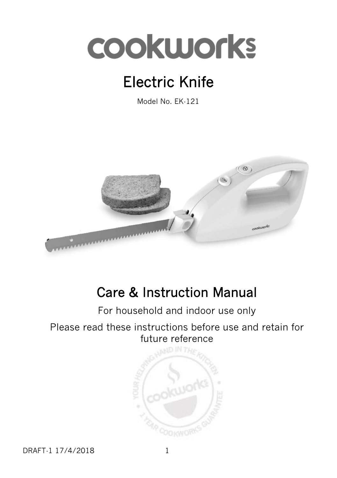# **COOKWOrks**

# Electric Knife

Model No. EK-121



# Care & Instruction Manual

## For household and indoor use only

#### Please read these instructions before use and retain for future reference



DRAFT-1 17/4/2018 1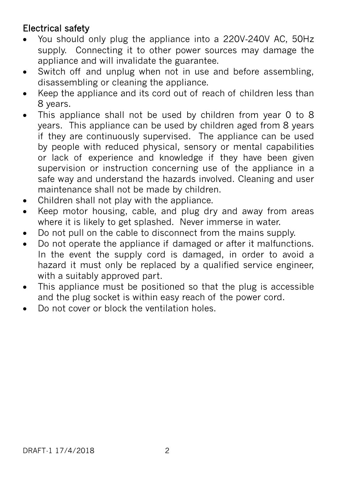### Electrical safety

- You should only plug the appliance into a 220V-240V AC, 50Hz supply. Connecting it to other power sources may damage the appliance and will invalidate the guarantee.
- Switch off and unplug when not in use and before assembling, disassembling or cleaning the appliance.
- Keep the appliance and its cord out of reach of children less than 8 years.
- This appliance shall not be used by children from year 0 to 8 years. This appliance can be used by children aged from 8 years if they are continuously supervised. The appliance can be used by people with reduced physical, sensory or mental capabilities or lack of experience and knowledge if they have been given supervision or instruction concerning use of the appliance in a safe way and understand the hazards involved. Cleaning and user maintenance shall not be made by children.
- Children shall not play with the appliance.
- Keep motor housing, cable, and plug dry and away from areas where it is likely to get splashed. Never immerse in water.
- Do not pull on the cable to disconnect from the mains supply.
- Do not operate the appliance if damaged or after it malfunctions. In the event the supply cord is damaged, in order to avoid a hazard it must only be replaced by a qualified service engineer, with a suitably approved part.
- This appliance must be positioned so that the plug is accessible and the plug socket is within easy reach of the power cord.
- Do not cover or block the ventilation holes.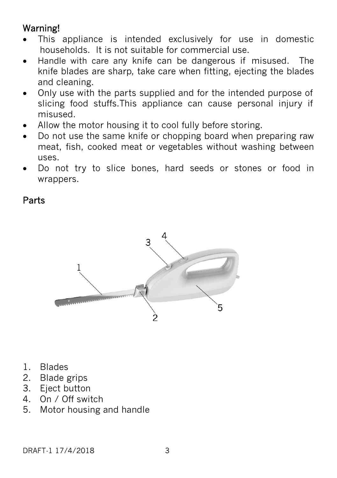## Warning!

- This appliance is intended exclusively for use in domestic households. It is not suitable for commercial use.
- Handle with care any knife can be dangerous if misused. The knife blades are sharp, take care when fitting, ejecting the blades and cleaning.
- Only use with the parts supplied and for the intended purpose of slicing food stuffs.This appliance can cause personal injury if misused.
- Allow the motor housing it to cool fully before storing.
- Do not use the same knife or chopping board when preparing raw meat, fish, cooked meat or vegetables without washing between uses.
- Do not try to slice bones, hard seeds or stones or food in wrappers.

Parts



- 1. Blades
- 2. Blade grips
- 3. Eject button
- 4. On / Off switch
- 5. Motor housing and handle

DRAFT-1 17/4/2018 3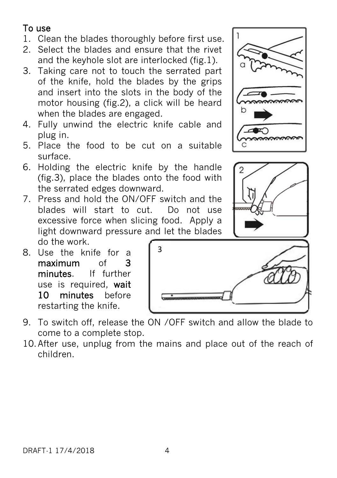#### To use

- 1. Clean the blades thoroughly before first use.
- 2. Select the blades and ensure that the rivet and the keyhole slot are interlocked (fig.1).
- 3. Taking care not to touch the serrated part of the knife, hold the blades by the grips and insert into the slots in the body of the motor housing (fig.2), a click will be heard when the blades are engaged.
- 4. Fully unwind the electric knife cable and plug in.
- 5. Place the food to be cut on a suitable surface.
- 6. Holding the electric knife by the handle (fig.3), place the blades onto the food with the serrated edges downward.
- 7. Press and hold the ON/OFF switch and the blades will start to cut. Do not use excessive force when slicing food. Apply a light downward pressure and let the blades do the work.
- 8. Use the knife for a maximum of 3 minutes. If further use is required, wait 10 minutes before restarting the knife.
- 9. To switch off, release the ON /OFF switch and allow the blade to come to a complete stop.
- 10.After use, unplug from the mains and place out of the reach of children.





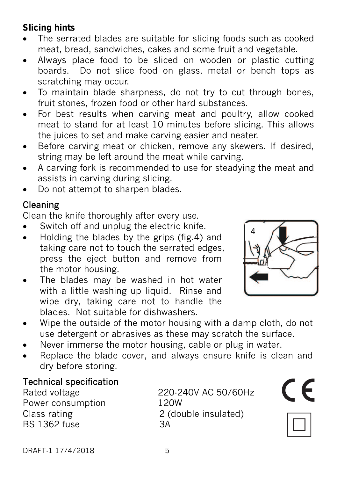#### **Slicing hints**

- The serrated blades are suitable for slicing foods such as cooked meat, bread, sandwiches, cakes and some fruit and vegetable.
- Always place food to be sliced on wooden or plastic cutting boards. Do not slice food on glass, metal or bench tops as scratching may occur.
- To maintain blade sharpness, do not try to cut through bones, fruit stones, frozen food or other hard substances.
- For best results when carving meat and poultry, allow cooked meat to stand for at least 10 minutes before slicing. This allows the juices to set and make carving easier and neater.
- Before carving meat or chicken, remove any skewers. If desired, string may be left around the meat while carving.
- A carving fork is recommended to use for steadying the meat and assists in carving during slicing.
- Do not attempt to sharpen blades.

### Cleaning

Clean the knife thoroughly after every use.

- Switch off and unplug the electric knife.
- Holding the blades by the grips (fig.4) and taking care not to touch the serrated edges, press the eject button and remove from the motor housing.
- The blades may be washed in hot water with a little washing up liquid. Rinse and wipe dry, taking care not to handle the blades. Not suitable for dishwashers.



- Wipe the outside of the motor housing with a damp cloth, do not use detergent or abrasives as these may scratch the surface.
- Never immerse the motor housing, cable or plug in water.
- Replace the blade cover, and always ensure knife is clean and dry before storing.

### Technical specification

Power consumption 120W BS 1362 fuse 3A

Rated voltage 220-240V AC 50/60Hz Class rating 2 (double insulated)





DRAFT-1 17/4/2018 5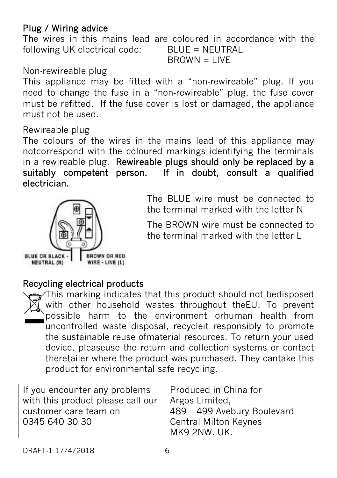#### Plug / Wiring advice

The wires in this mains lead are coloured in accordance with the following UK electrical code: BLUE = NEUTRAL  $B$ R $OWN = I$  IVF

#### Non-rewireable plug

This appliance may be fitted with a "non-rewireable" plug. If you need to change the fuse in a "non‐rewireable" plug, the fuse cover must be refitted. If the fuse cover is lost or damaged, the appliance must not be used.

#### Rewireable plug

The colours of the wires in the mains lead of this appliance may notcorrespond with the coloured markings identifying the terminals in a rewireable plug. Rewireable plugs should only be replaced by a suitably competent person. If in doubt, consult a qualified electrician.



The BLUE wire must be connected to the terminal marked with the letter N

The BROWN wire must be connected to the terminal marked with the letter L

#### Recycling electrical products

This marking indicates that this product should not bedisposed with other household wastes throughout theEU. To prevent possible harm to the environment orhuman health from uncontrolled waste disposal, recycleit responsibly to promote the sustainable reuse ofmaterial resources. To return your used device, pleaseuse the return and collection systems or contact theretailer where the product was purchased. They cantake this product for environmental safe recycling.

| If you encounter any problems     | Produced in China for        |
|-----------------------------------|------------------------------|
| with this product please call our | Argos Limited,               |
| customer care team on             | 489 - 499 Avebury Boulevard  |
| 0345 640 30 30                    | <b>Central Milton Keynes</b> |
|                                   | MK9 2NW. UK.                 |